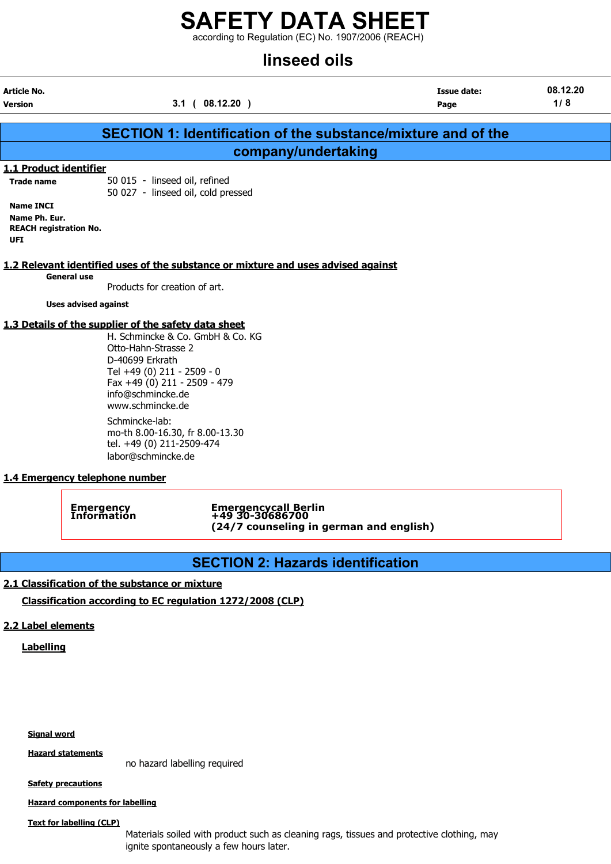according to Regulation (EC) No. 1907/2006 (REACH)

## linseed oils

|                                                                                  | EIIU DJUGIIII                                                                                                                                                                     |                     |                            |                 |  |
|----------------------------------------------------------------------------------|-----------------------------------------------------------------------------------------------------------------------------------------------------------------------------------|---------------------|----------------------------|-----------------|--|
| Article No.<br>Version                                                           | 3.1(08.12.20)                                                                                                                                                                     |                     | <b>Issue date:</b><br>Page | 08.12.20<br>1/8 |  |
|                                                                                  | <b>SECTION 1: Identification of the substance/mixture and of the</b>                                                                                                              |                     |                            |                 |  |
|                                                                                  |                                                                                                                                                                                   |                     |                            |                 |  |
|                                                                                  |                                                                                                                                                                                   | company/undertaking |                            |                 |  |
| 1.1 Product identifier<br><b>Trade name</b>                                      | 50 015 - linseed oil, refined<br>50 027 - linseed oil, cold pressed                                                                                                               |                     |                            |                 |  |
| <b>Name INCI</b><br>Name Ph. Eur.<br><b>REACH registration No.</b><br><b>UFI</b> |                                                                                                                                                                                   |                     |                            |                 |  |
| <b>General use</b>                                                               | 1.2 Relevant identified uses of the substance or mixture and uses advised against                                                                                                 |                     |                            |                 |  |
|                                                                                  | Products for creation of art.                                                                                                                                                     |                     |                            |                 |  |
| <b>Uses advised against</b>                                                      |                                                                                                                                                                                   |                     |                            |                 |  |
|                                                                                  | 1.3 Details of the supplier of the safety data sheet                                                                                                                              |                     |                            |                 |  |
|                                                                                  | H. Schmincke & Co. GmbH & Co. KG<br>Otto-Hahn-Strasse 2<br>D-40699 Erkrath<br>Tel +49 (0) 211 - 2509 - 0<br>Fax +49 (0) 211 - 2509 - 479<br>info@schmincke.de<br>www.schmincke.de |                     |                            |                 |  |
|                                                                                  | Schmincke-lab:<br>mo-th 8.00-16.30, fr 8.00-13.30<br>tel. +49 (0) 211-2509-474<br>labor@schmincke.de                                                                              |                     |                            |                 |  |
| 4 A F.                                                                           | وعامدت بمرجود والمماجية                                                                                                                                                           |                     |                            |                 |  |

### 1.4 Emergency telephone number

Emergency Emergencycall Berlin Information +49 30-30686700 (24/7 counseling in german and english)

### SECTION 2: Hazards identification

### 2.1 Classification of the substance or mixture

Classification according to EC regulation 1272/2008 (CLP)

### 2.2 Label elements

**Labelling** 

Signal word

Hazard statements

no hazard labelling required

**Safety precautions** 

Hazard components for labelling

Text for labelling (CLP)

Materials soiled with product such as cleaning rags, tissues and protective clothing, may ignite spontaneously a few hours later.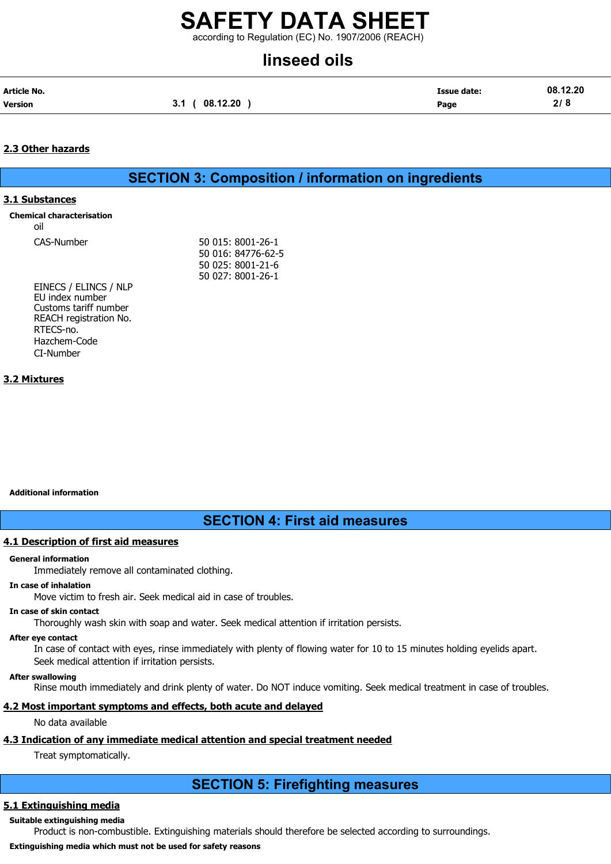### SAFETY DATA SHEET according to Regulation (EC) No. 1907/2006 (REACH)

## linseed oils

| Article No.    |                | <b>Issue date:</b> | 08.12.20 |
|----------------|----------------|--------------------|----------|
| <b>Version</b> | 3.1 ( 08.12.20 | Page               | 2/8      |

### 2.3 Other hazards

SECTION 3: Composition / information on ingredients

### 3.1 Substances

Chemical characterisation

oil

CAS-Number 50 015: 8001-26-1 50 016: 84776-62-5 50 025: 8001-21-6 50 027: 8001-26-1

EINECS / ELINCS / NLP EU index number Customs tariff number REACH registration No. RTECS-no. Hazchem-Code CI-Number

### 3.2 Mixtures

#### Additional information

SECTION 4: First aid measures

### 4.1 Description of first aid measures

#### General information

Immediately remove all contaminated clothing.

#### In case of inhalation

Move victim to fresh air. Seek medical aid in case of troubles.

#### In case of skin contact

Thoroughly wash skin with soap and water. Seek medical attention if irritation persists.

### After eye contact

In case of contact with eyes, rinse immediately with plenty of flowing water for 10 to 15 minutes holding eyelids apart. Seek medical attention if irritation persists.

### After swallowing

Rinse mouth immediately and drink plenty of water. Do NOT induce vomiting. Seek medical treatment in case of troubles.

### 4.2 Most important symptoms and effects, both acute and delayed

No data available

### 4.3 Indication of any immediate medical attention and special treatment needed

Treat symptomatically.

### SECTION 5: Firefighting measures

### 5.1 Extinguishing media

### Suitable extinguishing media

Product is non-combustible. Extinguishing materials should therefore be selected according to surroundings.

### Extinguishing media which must not be used for safety reasons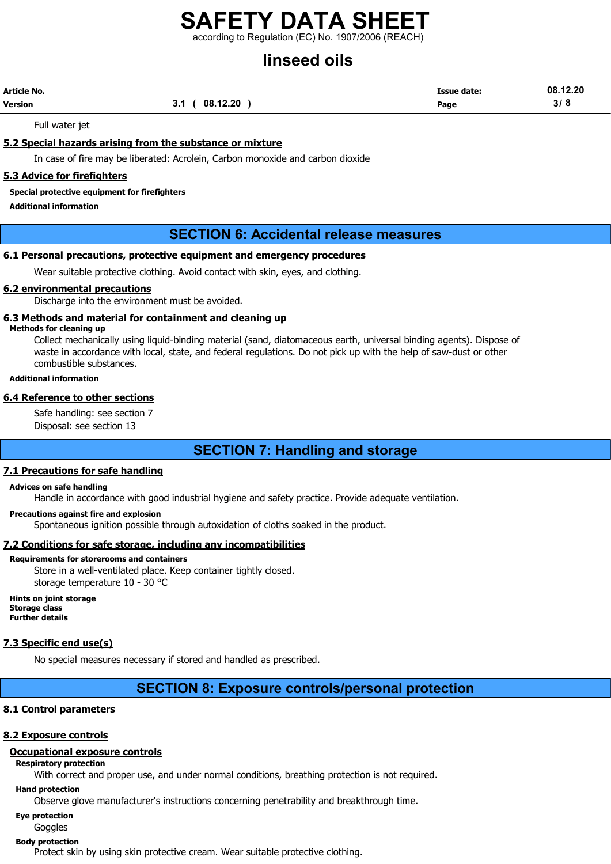according to Regulation (EC) No. 1907/2006 (REACH)

# linseed oils

| Article No. |                   | <b>Issue date:</b> | 08.12.20 |
|-------------|-------------------|--------------------|----------|
| Version     | (08.12.20)<br>3.1 | Page               | 3/8      |

Full water jet

### 5.2 Special hazards arising from the substance or mixture

In case of fire may be liberated: Acrolein, Carbon monoxide and carbon dioxide

### 5.3 Advice for firefighters

#### Special protective equipment for firefighters

Additional information

### SECTION 6: Accidental release measures

### 6.1 Personal precautions, protective equipment and emergency procedures

Wear suitable protective clothing. Avoid contact with skin, eyes, and clothing.

### 6.2 environmental precautions

Discharge into the environment must be avoided.

### 6.3 Methods and material for containment and cleaning up

#### Methods for cleaning up

Collect mechanically using liquid-binding material (sand, diatomaceous earth, universal binding agents). Dispose of waste in accordance with local, state, and federal regulations. Do not pick up with the help of saw-dust or other combustible substances.

### Additional information

### 6.4 Reference to other sections

Safe handling: see section 7 Disposal: see section 13

### SECTION 7: Handling and storage

### 7.1 Precautions for safe handling

#### Advices on safe handling

Handle in accordance with good industrial hygiene and safety practice. Provide adequate ventilation.

#### Precautions against fire and explosion

Spontaneous ignition possible through autoxidation of cloths soaked in the product.

### 7.2 Conditions for safe storage, including any incompatibilities

#### Requirements for storerooms and containers

Store in a well-ventilated place. Keep container tightly closed. storage temperature 10 - 30 °C

Hints on joint storage Storage class Further details

#### 7.3 Specific end use(s)

No special measures necessary if stored and handled as prescribed.

### SECTION 8: Exposure controls/personal protection

### 8.1 Control parameters

### 8.2 Exposure controls

### Occupational exposure controls

### Respiratory protection

With correct and proper use, and under normal conditions, breathing protection is not required.

Hand protection

Observe glove manufacturer's instructions concerning penetrability and breakthrough time.

### Eye protection

#### Goggles Body protection

Protect skin by using skin protective cream. Wear suitable protective clothing.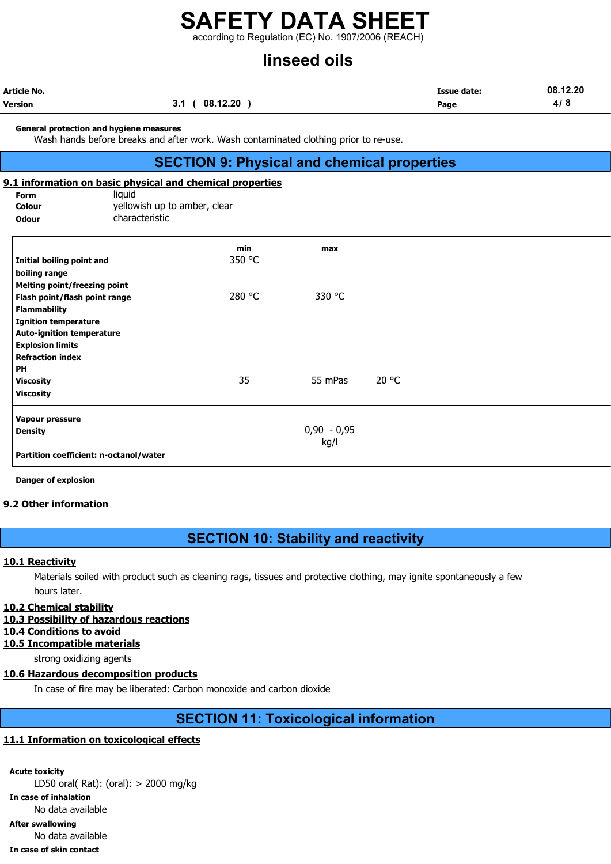according to Regulation (EC) No. 1907/2006 (REACH)

## linseed oils

| Article No. |                 | <b>Issue date:</b> | 08.12.20 |
|-------------|-----------------|--------------------|----------|
| Version     | 08.12.20<br>3.1 | Page               | 4/8      |

#### General protection and hygiene measures

Wash hands before breaks and after work. Wash contaminated clothing prior to re-use.

### SECTION 9: Physical and chemical properties

### 9.1 information on basic physical and chemical properties

| Form   |  |
|--------|--|
| Colour |  |

liquid yellowish up to amber, clear Odour **characteristic** 

|                                        | min    | max           |       |
|----------------------------------------|--------|---------------|-------|
| Initial boiling point and              | 350 °C |               |       |
| boiling range                          |        |               |       |
| <b>Melting point/freezing point</b>    |        |               |       |
| Flash point/flash point range          | 280 °C | 330 °C        |       |
| <b>Flammability</b>                    |        |               |       |
| <b>Ignition temperature</b>            |        |               |       |
| <b>Auto-ignition temperature</b>       |        |               |       |
| <b>Explosion limits</b>                |        |               |       |
| <b>Refraction index</b>                |        |               |       |
| <b>PH</b>                              |        |               |       |
| <b>Viscosity</b>                       | 35     | 55 mPas       | 20 °C |
| <b>Viscosity</b>                       |        |               |       |
| Vapour pressure                        |        |               |       |
| <b>Density</b>                         |        | $0,90 - 0,95$ |       |
|                                        |        | kg/l          |       |
| Partition coefficient: n-octanol/water |        |               |       |

Danger of explosion

### 9.2 Other information

### SECTION 10: Stability and reactivity

### 10.1 Reactivity

Materials soiled with product such as cleaning rags, tissues and protective clothing, may ignite spontaneously a few hours later.

### 10.2 Chemical stability

- 10.3 Possibility of hazardous reactions
- 10.4 Conditions to avoid

### 10.5 Incompatible materials

strong oxidizing agents

### 10.6 Hazardous decomposition products

In case of fire may be liberated: Carbon monoxide and carbon dioxide

### SECTION 11: Toxicological information

### 11.1 Information on toxicological effects

Acute toxicity LD50 oral( Rat): (oral): > 2000 mg/kg In case of inhalation No data available After swallowing No data available In case of skin contact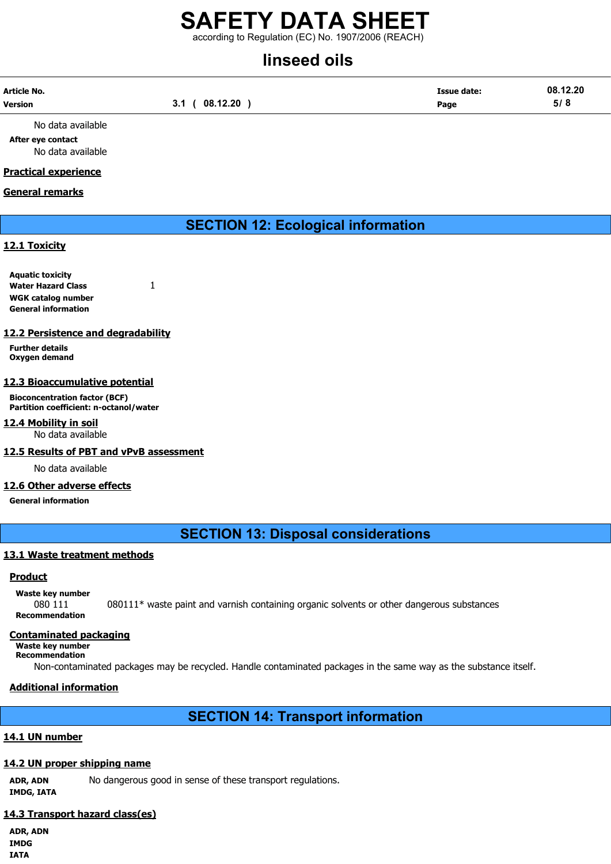### SAFETY DATA SHEET according to Regulation (EC) No. 1907/2006 (REACH)

# linseed oils

| Article No.    |                 | Issue date: | 08.12.20 |
|----------------|-----------------|-------------|----------|
| <b>Version</b> | 08.12.20<br>3.1 | Page        | 5/8      |

No data available After eye contact No data available

### Practical experience

### General remarks

### SECTION 12: Ecological information

### 12.1 Toxicity

Aquatic toxicity Water Hazard Class 1 WGK catalog number General information

### 12.2 Persistence and degradability

Further details Oxygen demand

### 12.3 Bioaccumulative potential

Bioconcentration factor (BCF) Partition coefficient: n-octanol/water

### 12.4 Mobility in soil

No data available

### 12.5 Results of PBT and vPvB assessment

No data available

### 12.6 Other adverse effects

General information

### SECTION 13: Disposal considerations

### 13.1 Waste treatment methods

### **Product**

Waste key number 080 111 080111\* waste paint and varnish containing organic solvents or other dangerous substances Recommendation

### Contaminated packaging

Waste key number Recommendation

Non-contaminated packages may be recycled. Handle contaminated packages in the same way as the substance itself.

### Additional information

### SECTION 14: Transport information

### 14.1 UN number

### 14.2 UN proper shipping name

ADR, ADN No dangerous good in sense of these transport regulations.

IMDG, IATA

### 14.3 Transport hazard class(es)

ADR, ADN IMDG IATA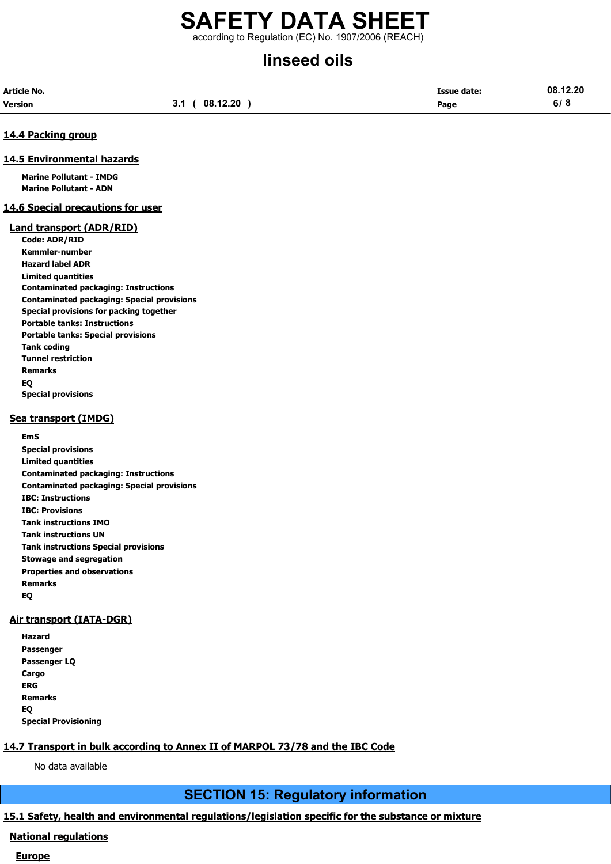### SAFETY DATA SHEET according to Regulation (EC) No. 1907/2006 (REACH)

# linseed oils

| Article No. |               | <b>Issue date:</b> | 08.12.20 |
|-------------|---------------|--------------------|----------|
| Version     | 3.1(08.12.20) | Page               | 6/8      |

### 14.4 Packing group

### 14.5 Environmental hazards

Marine Pollutant - IMDG Marine Pollutant - ADN

### 14.6 Special precautions for user

#### Land transport (ADR/RID)

Code: ADR/RID Kemmler-number Hazard label ADR Limited quantities Contaminated packaging: Instructions Contaminated packaging: Special provisions Special provisions for packing together Portable tanks: Instructions Portable tanks: Special provisions Tank coding Tunnel restriction Remarks EQ Special provisions

### Sea transport (IMDG)

EmS Special provisions Limited quantities Contaminated packaging: Instructions Contaminated packaging: Special provisions IBC: Instructions IBC: Provisions Tank instructions IMO Tank instructions UN Tank instructions Special provisions Stowage and segregation Properties and observations Remarks EQ

### Air transport (IATA-DGR)

| Hazard                      |
|-----------------------------|
| Passenger                   |
| Passenger LQ                |
| Cargo                       |
| ERG                         |
| Remarks                     |
| EQ                          |
| <b>Special Provisioning</b> |

### 14.7 Transport in bulk according to Annex II of MARPOL 73/78 and the IBC Code

No data available

### SECTION 15: Regulatory information

### 15.1 Safety, health and environmental regulations/legislation specific for the substance or mixture

### National regulations

### **Europe**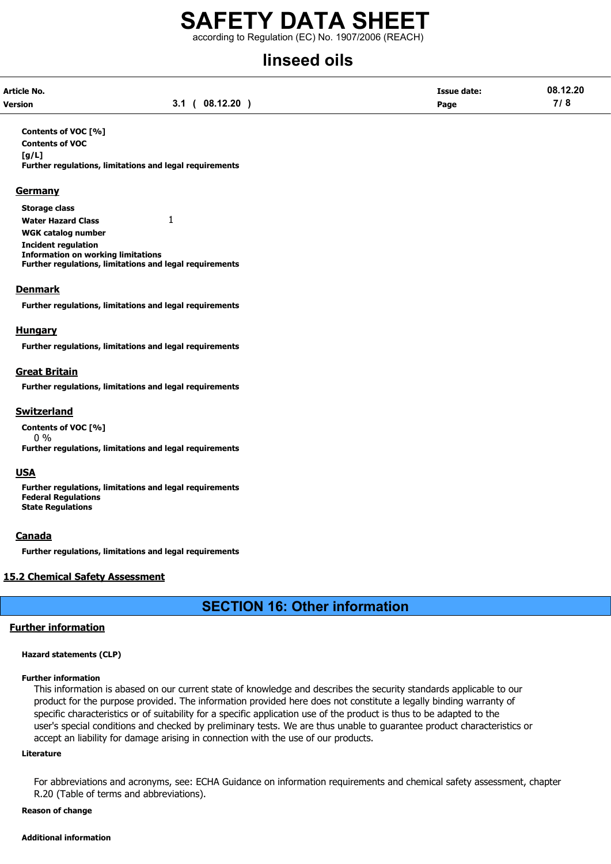according to Regulation (EC) No. 1907/2006 (REACH)

# linseed oils

| Article No. |               | <b>Issue date:</b> | 08.12.20 |
|-------------|---------------|--------------------|----------|
| Version     | 3.1(08.12.20) | Page               | 7/8      |

Contents of VOC [%] Contents of VOC [g/L] Further regulations, limitations and legal requirements

### **Germany**

Storage class Water Hazard Class 1 WGK catalog number Incident regulation Information on working limitations Further regulations, limitations and legal requirements

### Denmark

Further regulations, limitations and legal requirements

### **Hungary**

Further regulations, limitations and legal requirements

### Great Britain

Further regulations, limitations and legal requirements

### Switzerland

Contents of VOC [%] 0 % Further regulations, limitations and legal requirements

### USA

Further regulations, limitations and legal requirements Federal Regulations State Regulations

### Canada

Further regulations, limitations and legal requirements

### 15.2 Chemical Safety Assessment

### SECTION 16: Other information

### Further information

#### Hazard statements (CLP)

#### Further information

This information is abased on our current state of knowledge and describes the security standards applicable to our product for the purpose provided. The information provided here does not constitute a legally binding warranty of specific characteristics or of suitability for a specific application use of the product is thus to be adapted to the user's special conditions and checked by preliminary tests. We are thus unable to guarantee product characteristics or accept an liability for damage arising in connection with the use of our products.

#### Literature

For abbreviations and acronyms, see: ECHA Guidance on information requirements and chemical safety assessment, chapter R.20 (Table of terms and abbreviations).

### Reason of change